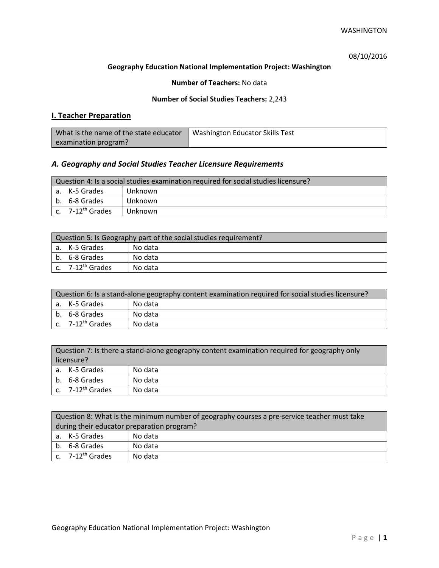08/10/2016

### **Geography Education National Implementation Project: Washington**

### **Number of Teachers:** No data

### **Number of Social Studies Teachers:** 2,243

## **I. Teacher Preparation**

| What is the name of the state educator | Washington Educator Skills Test |
|----------------------------------------|---------------------------------|
| examination program?                   |                                 |

## *A. Geography and Social Studies Teacher Licensure Requirements*

| Question 4: Is a social studies examination required for social studies licensure? |                       |         |
|------------------------------------------------------------------------------------|-----------------------|---------|
|                                                                                    | a. K-5 Grades         | Unknown |
|                                                                                    | b. 6-8 Grades         | Unknown |
|                                                                                    | c. $7-12^{th}$ Grades | Unknown |

| Question 5: Is Geography part of the social studies requirement? |                              |         |
|------------------------------------------------------------------|------------------------------|---------|
|                                                                  | l a. K-5 Grades              | No data |
|                                                                  | b. 6-8 Grades                | No data |
|                                                                  | c. 7-12 <sup>th</sup> Grades | No data |

| Question 6: Is a stand-alone geography content examination required for social studies licensure? |                                |         |  |
|---------------------------------------------------------------------------------------------------|--------------------------------|---------|--|
|                                                                                                   | l a. K-5 Grades                | No data |  |
|                                                                                                   | b. 6-8 Grades                  | No data |  |
|                                                                                                   | $c.$ 7-12 <sup>th</sup> Grades | No data |  |

| Question 7: Is there a stand-alone geography content examination required for geography only<br>licensure? |                       |         |
|------------------------------------------------------------------------------------------------------------|-----------------------|---------|
|                                                                                                            | a. K-5 Grades         | No data |
|                                                                                                            | b. 6-8 Grades         | No data |
|                                                                                                            | c. $7-12^{th}$ Grades | No data |

|                                            | Question 8: What is the minimum number of geography courses a pre-service teacher must take |         |  |
|--------------------------------------------|---------------------------------------------------------------------------------------------|---------|--|
| during their educator preparation program? |                                                                                             |         |  |
|                                            | a. K-5 Grades                                                                               | No data |  |
|                                            | b. 6-8 Grades                                                                               | No data |  |
|                                            | c. $7-12^{th}$ Grades                                                                       | No data |  |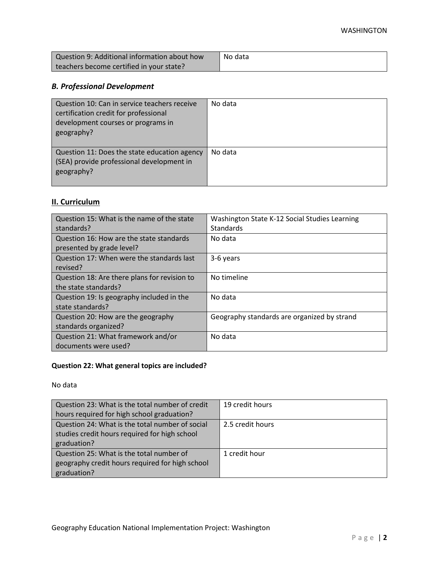| Question 9: Additional information about how | No data |
|----------------------------------------------|---------|
| teachers become certified in your state?     |         |

# *B. Professional Development*

| Question 10: Can in service teachers receive<br>certification credit for professional<br>development courses or programs in<br>geography? | No data |
|-------------------------------------------------------------------------------------------------------------------------------------------|---------|
| Question 11: Does the state education agency<br>(SEA) provide professional development in<br>geography?                                   | No data |

# **II. Curriculum**

| Question 15: What is the name of the state   | Washington State K-12 Social Studies Learning |
|----------------------------------------------|-----------------------------------------------|
| standards?                                   | Standards                                     |
| Question 16: How are the state standards     | No data                                       |
| presented by grade level?                    |                                               |
| Question 17: When were the standards last    | 3-6 years                                     |
| revised?                                     |                                               |
| Question 18: Are there plans for revision to | No timeline                                   |
| the state standards?                         |                                               |
| Question 19: Is geography included in the    | No data                                       |
| state standards?                             |                                               |
| Question 20: How are the geography           | Geography standards are organized by strand   |
| standards organized?                         |                                               |
| Question 21: What framework and/or           | No data                                       |
| documents were used?                         |                                               |

# **Question 22: What general topics are included?**

No data

| Question 23: What is the total number of credit | 19 credit hours  |
|-------------------------------------------------|------------------|
| hours required for high school graduation?      |                  |
| Question 24: What is the total number of social | 2.5 credit hours |
| studies credit hours required for high school   |                  |
| graduation?                                     |                  |
| Question 25: What is the total number of        | 1 credit hour    |
| geography credit hours required for high school |                  |
| graduation?                                     |                  |